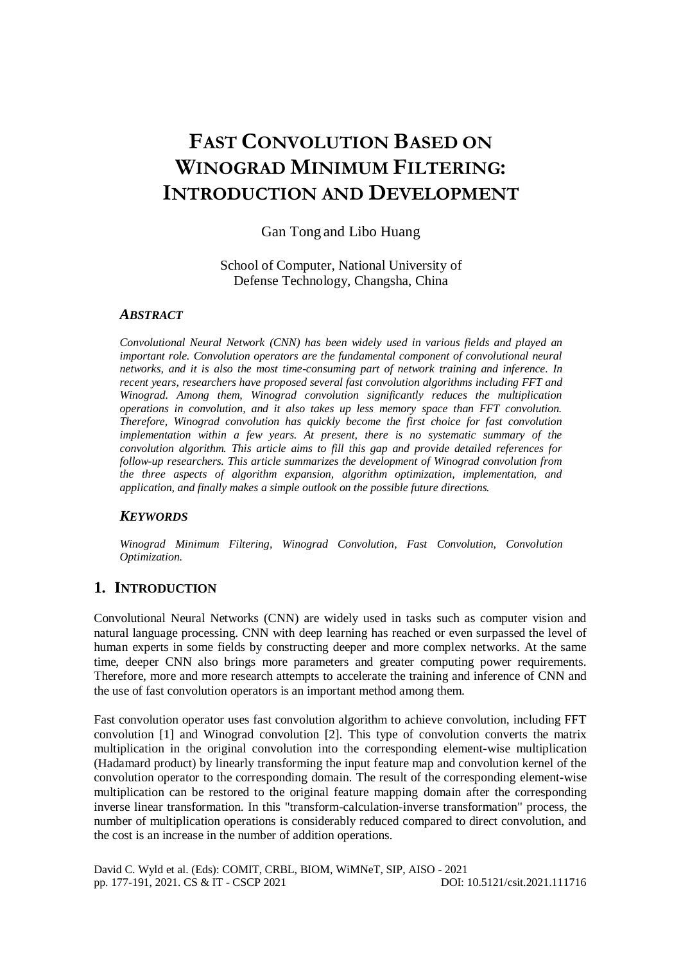# **FAST CONVOLUTION BASED ON WINOGRAD MINIMUM FILTERING: INTRODUCTION AND DEVELOPMENT**

## Gan Tong and Libo Huang

## School of Computer, National University of Defense Technology, Changsha, China

## *ABSTRACT*

*Convolutional Neural Network (CNN) has been widely used in various fields and played an important role. Convolution operators are the fundamental component of convolutional neural networks, and it is also the most time-consuming part of network training and inference. In recent years, researchers have proposed several fast convolution algorithms including FFT and Winograd. Among them, Winograd convolution significantly reduces the multiplication operations in convolution, and it also takes up less memory space than FFT convolution. Therefore, Winograd convolution has quickly become the first choice for fast convolution implementation within a few years. At present, there is no systematic summary of the convolution algorithm. This article aims to fill this gap and provide detailed references for follow-up researchers. This article summarizes the development of Winograd convolution from the three aspects of algorithm expansion, algorithm optimization, implementation, and application, and finally makes a simple outlook on the possible future directions.*

## *KEYWORDS*

*Winograd Minimum Filtering, Winograd Convolution, Fast Convolution, Convolution Optimization.*

# **1. INTRODUCTION**

Convolutional Neural Networks (CNN) are widely used in tasks such as computer vision and natural language processing. CNN with deep learning has reached or even surpassed the level of human experts in some fields by constructing deeper and more complex networks. At the same time, deeper CNN also brings more parameters and greater computing power requirements. Therefore, more and more research attempts to accelerate the training and inference of CNN and the use of fast convolution operators is an important method among them.

Fast convolution operator uses fast convolution algorithm to achieve convolution, including FFT convolution [1] and Winograd convolution [2]. This type of convolution converts the matrix multiplication in the original convolution into the corresponding element-wise multiplication (Hadamard product) by linearly transforming the input feature map and convolution kernel of the convolution operator to the corresponding domain. The result of the corresponding element-wise multiplication can be restored to the original feature mapping domain after the corresponding inverse linear transformation. In this "transform-calculation-inverse transformation" process, the number of multiplication operations is considerably reduced compared to direct convolution, and the cost is an increase in the number of addition operations.

David C. Wyld et al. (Eds): COMIT, CRBL, BIOM, WiMNeT, SIP, AISO - 2021 pp. 177-191, 2021[. CS & IT](http://airccse.org/cscp.html) - [CSCP 2021](http://airccse.org/csit/V11N17.html) [DOI: 10.5121/csit.2021.111716](https://doi.org/10.5121/csit.2021.111716)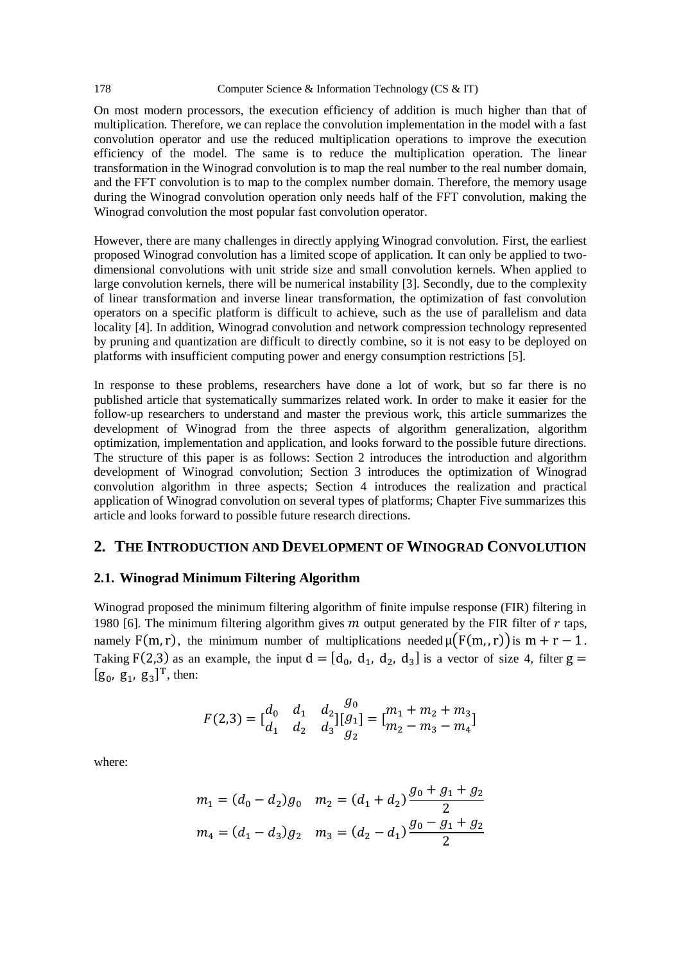#### 178 Computer Science & Information Technology (CS & IT)

On most modern processors, the execution efficiency of addition is much higher than that of multiplication. Therefore, we can replace the convolution implementation in the model with a fast convolution operator and use the reduced multiplication operations to improve the execution efficiency of the model. The same is to reduce the multiplication operation. The linear transformation in the Winograd convolution is to map the real number to the real number domain, and the FFT convolution is to map to the complex number domain. Therefore, the memory usage during the Winograd convolution operation only needs half of the FFT convolution, making the Winograd convolution the most popular fast convolution operator.

However, there are many challenges in directly applying Winograd convolution. First, the earliest proposed Winograd convolution has a limited scope of application. It can only be applied to twodimensional convolutions with unit stride size and small convolution kernels. When applied to large convolution kernels, there will be numerical instability [3]. Secondly, due to the complexity of linear transformation and inverse linear transformation, the optimization of fast convolution operators on a specific platform is difficult to achieve, such as the use of parallelism and data locality [4]. In addition, Winograd convolution and network compression technology represented by pruning and quantization are difficult to directly combine, so it is not easy to be deployed on platforms with insufficient computing power and energy consumption restrictions [5].

In response to these problems, researchers have done a lot of work, but so far there is no published article that systematically summarizes related work. In order to make it easier for the follow-up researchers to understand and master the previous work, this article summarizes the development of Winograd from the three aspects of algorithm generalization, algorithm optimization, implementation and application, and looks forward to the possible future directions. The structure of this paper is as follows: Section 2 introduces the introduction and algorithm development of Winograd convolution; Section 3 introduces the optimization of Winograd convolution algorithm in three aspects; Section 4 introduces the realization and practical application of Winograd convolution on several types of platforms; Chapter Five summarizes this article and looks forward to possible future research directions.

## **2. THE INTRODUCTION AND DEVELOPMENT OF WINOGRAD CONVOLUTION**

## **2.1. Winograd Minimum Filtering Algorithm**

Winograd proposed the minimum filtering algorithm of finite impulse response (FIR) filtering in 1980 [6]. The minimum filtering algorithm gives  $m$  output generated by the FIR filter of  $r$  taps, namely F(m, r), the minimum number of multiplications needed  $\mu(F(m, r))$  is  $m + r - 1$ . Taking F(2,3) as an example, the input  $d = [d_0, d_1, d_2, d_3]$  is a vector of size 4, filter  $g =$  $[g_0, g_1, g_3]^T$ , then:

$$
F(2,3) = \begin{bmatrix} d_0 & d_1 & d_2 \\ d_1 & d_2 & d_3 \end{bmatrix} \begin{bmatrix} g_0 \\ g_1 \end{bmatrix} = \begin{bmatrix} m_1 + m_2 + m_3 \\ m_2 - m_3 - m_4 \end{bmatrix}
$$

where:

$$
m_1 = (d_0 - d_2)g_0 \quad m_2 = (d_1 + d_2)\frac{g_0 + g_1 + g_2}{2}
$$

$$
m_4 = (d_1 - d_3)g_2 \quad m_3 = (d_2 - d_1)\frac{g_0 - g_1 + g_2}{2}
$$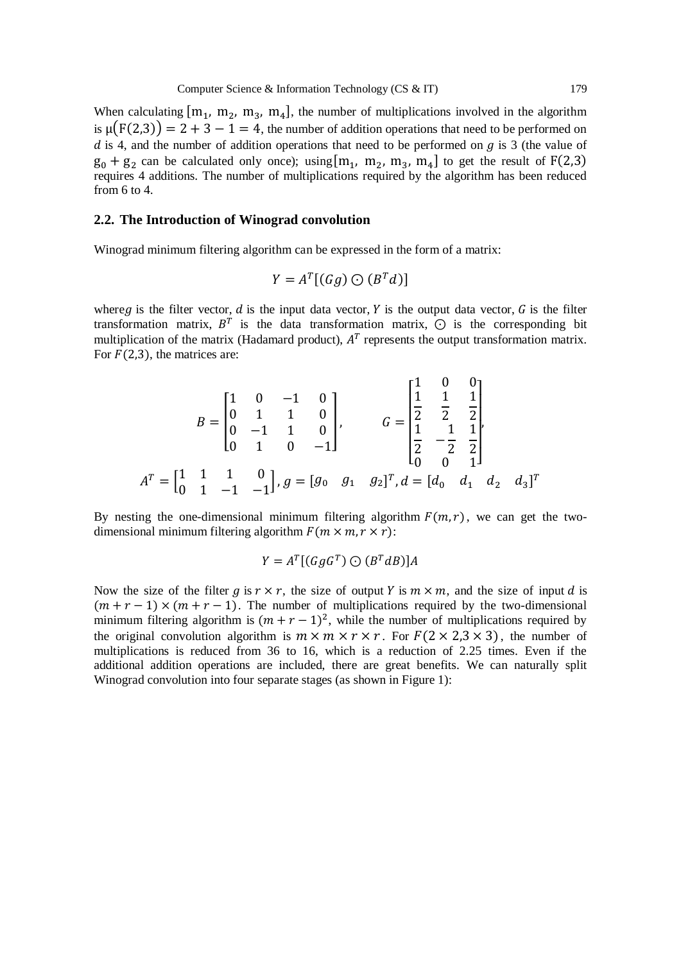When calculating  $[m_1, m_2, m_3, m_4]$ , the number of multiplications involved in the algorithm is  $\mu(F(2,3)) = 2 + 3 - 1 = 4$ , the number of addition operations that need to be performed on d is 4, and the number of addition operations that need to be performed on  $q$  is 3 (the value of  $g_0 + g_2$  can be calculated only once); using  $[m_1, m_2, m_3, m_4]$  to get the result of  $F(2,3)$ requires 4 additions. The number of multiplications required by the algorithm has been reduced from 6 to 4.

## **2.2. The Introduction of Winograd convolution**

Winograd minimum filtering algorithm can be expressed in the form of a matrix:

$$
Y = A^T[(Gg) \bigcirc (B^Td)]
$$

where g is the filter vector,  $d$  is the input data vector,  $Y$  is the output data vector,  $G$  is the filter transformation matrix,  $B^T$  is the data transformation matrix,  $\odot$  is the corresponding bit multiplication of the matrix (Hadamard product),  $A<sup>T</sup>$  represents the output transformation matrix. For  $F(2,3)$ , the matrices are:

$$
B = \begin{bmatrix} 1 & 0 & -1 & 0 \\ 0 & 1 & 1 & 0 \\ 0 & -1 & 1 & 0 \\ 0 & 1 & 0 & -1 \end{bmatrix}, \qquad G = \begin{bmatrix} \frac{1}{1} & 0 & 0 \\ \frac{1}{2} & \frac{1}{2} & \frac{1}{2} \\ \frac{1}{2} & -\frac{1}{2} & \frac{1}{2} \\ 0 & 0 & 1 \end{bmatrix}
$$

$$
AT = \begin{bmatrix} 1 & 1 & 1 & 0 \\ 0 & 1 & -1 & -1 \end{bmatrix}, g = [g_0 \quad g_1 \quad g_2]^T, d = [d_0 \quad d_1 \quad d_2 \quad d_3]^T
$$

By nesting the one-dimensional minimum filtering algorithm  $F(m, r)$ , we can get the twodimensional minimum filtering algorithm  $F(m \times m, r \times r)$ :

$$
Y = A^T [(GgG^T) \bigcirc (B^T dB)]A
$$

Now the size of the filter g is  $r \times r$ , the size of output Y is  $m \times m$ , and the size of input d is  $(m + r - 1) \times (m + r - 1)$ . The number of multiplications required by the two-dimensional minimum filtering algorithm is  $(m + r - 1)^2$ , while the number of multiplications required by the original convolution algorithm is  $m \times m \times r \times r$ . For  $F(2 \times 2.3 \times 3)$ , the number of multiplications is reduced from 36 to 16, which is a reduction of 2.25 times. Even if the additional addition operations are included, there are great benefits. We can naturally split Winograd convolution into four separate stages (as shown in Figure 1):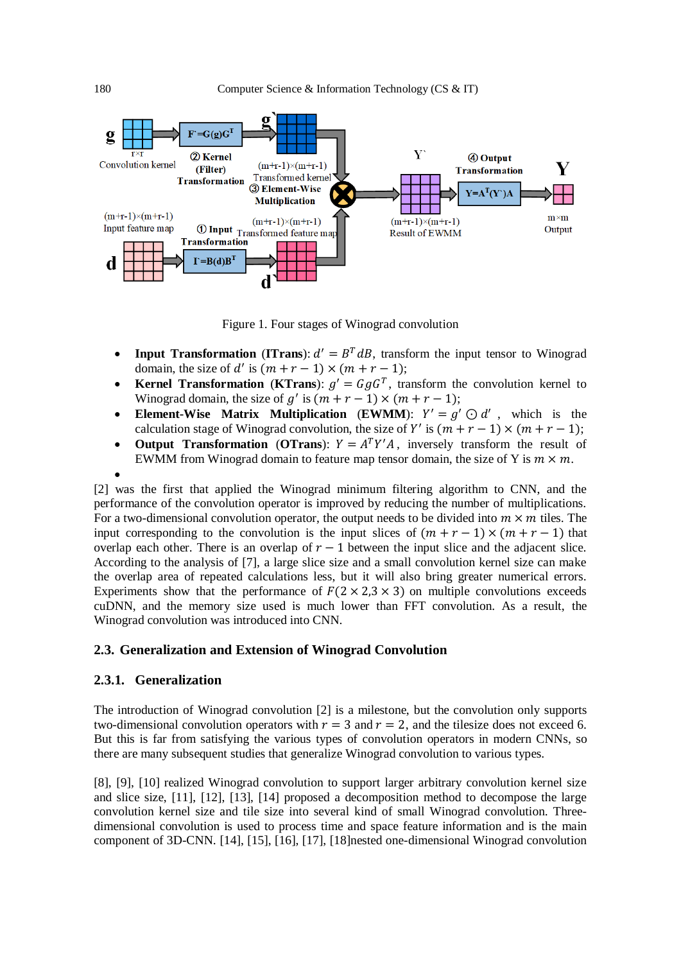

Figure 1. Four stages of Winograd convolution

- **Input Transformation** (**ITrans**):  $d' = B^T dB$ , transform the input tensor to Winograd domain, the size of d' is  $(m + r - 1) \times (m + r - 1)$ ;
- **Kernel Transformation** (**KTrans**):  $g' = GgG^T$ , transform the convolution kernel to Winograd domain, the size of  $g'$  is  $(m + r - 1) \times (m + r - 1)$ ;
- **Element-Wise Matrix Multiplication** (**EWMM**):  $Y' = g' \odot d'$ , which is the calculation stage of Winograd convolution, the size of Y' is  $(m + r - 1) \times (m + r - 1)$ ;
- **Output Transformation** (**OTrans**):  $Y = A^T Y' A$ , inversely transform the result of EWMM from Winograd domain to feature map tensor domain, the size of Y is  $m \times m$ .
- $\bullet$

[2] was the first that applied the Winograd minimum filtering algorithm to CNN, and the performance of the convolution operator is improved by reducing the number of multiplications. For a two-dimensional convolution operator, the output needs to be divided into  $m \times m$  tiles. The input corresponding to the convolution is the input slices of  $(m + r - 1) \times (m + r - 1)$  that overlap each other. There is an overlap of  $r - 1$  between the input slice and the adjacent slice. According to the analysis of [7], a large slice size and a small convolution kernel size can make the overlap area of repeated calculations less, but it will also bring greater numerical errors. Experiments show that the performance of  $F(2 \times 2,3 \times 3)$  on multiple convolutions exceeds cuDNN, and the memory size used is much lower than FFT convolution. As a result, the Winograd convolution was introduced into CNN.

## **2.3. Generalization and Extension of Winograd Convolution**

## **2.3.1. Generalization**

The introduction of Winograd convolution [2] is a milestone, but the convolution only supports two-dimensional convolution operators with  $r = 3$  and  $r = 2$ , and the tilesize does not exceed 6. But this is far from satisfying the various types of convolution operators in modern CNNs, so there are many subsequent studies that generalize Winograd convolution to various types.

[8], [9], [10] realized Winograd convolution to support larger arbitrary convolution kernel size and slice size, [11], [12], [13], [14] proposed a decomposition method to decompose the large convolution kernel size and tile size into several kind of small Winograd convolution. Threedimensional convolution is used to process time and space feature information and is the main component of 3D-CNN. [14], [15], [16], [17], [18]nested one-dimensional Winograd convolution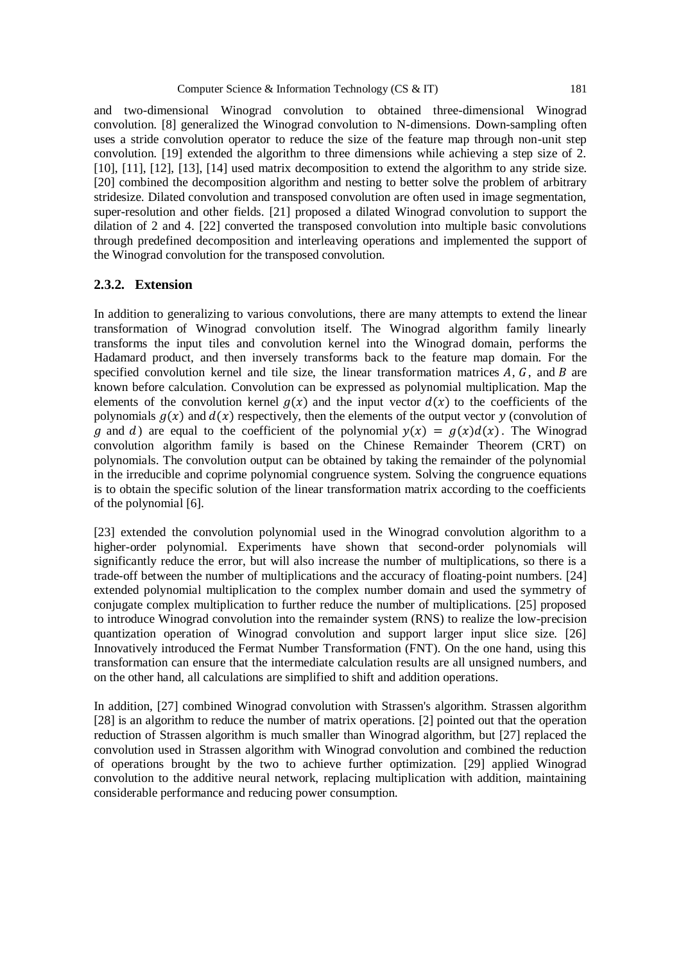and two-dimensional Winograd convolution to obtained three-dimensional Winograd convolution. [8] generalized the Winograd convolution to N-dimensions. Down-sampling often uses a stride convolution operator to reduce the size of the feature map through non-unit step convolution. [19] extended the algorithm to three dimensions while achieving a step size of 2.

[10], [11], [12], [13], [14] used matrix decomposition to extend the algorithm to any stride size. [20] combined the decomposition algorithm and nesting to better solve the problem of arbitrary stridesize. Dilated convolution and transposed convolution are often used in image segmentation, super-resolution and other fields. [21] proposed a dilated Winograd convolution to support the dilation of 2 and 4. [22] converted the transposed convolution into multiple basic convolutions through predefined decomposition and interleaving operations and implemented the support of the Winograd convolution for the transposed convolution.

## **2.3.2. Extension**

In addition to generalizing to various convolutions, there are many attempts to extend the linear transformation of Winograd convolution itself. The Winograd algorithm family linearly transforms the input tiles and convolution kernel into the Winograd domain, performs the Hadamard product, and then inversely transforms back to the feature map domain. For the specified convolution kernel and tile size, the linear transformation matrices  $A, G$ , and  $B$  are known before calculation. Convolution can be expressed as polynomial multiplication. Map the elements of the convolution kernel  $q(x)$  and the input vector  $d(x)$  to the coefficients of the polynomials  $g(x)$  and  $d(x)$  respectively, then the elements of the output vector y (convolution of g and d) are equal to the coefficient of the polynomial  $y(x) = g(x)d(x)$ . The Winograd convolution algorithm family is based on the Chinese Remainder Theorem (CRT) on polynomials. The convolution output can be obtained by taking the remainder of the polynomial in the irreducible and coprime polynomial congruence system. Solving the congruence equations is to obtain the specific solution of the linear transformation matrix according to the coefficients of the polynomial [6].

[23] extended the convolution polynomial used in the Winograd convolution algorithm to a higher-order polynomial. Experiments have shown that second-order polynomials will significantly reduce the error, but will also increase the number of multiplications, so there is a trade-off between the number of multiplications and the accuracy of floating-point numbers. [24] extended polynomial multiplication to the complex number domain and used the symmetry of conjugate complex multiplication to further reduce the number of multiplications. [25] proposed to introduce Winograd convolution into the remainder system (RNS) to realize the low-precision quantization operation of Winograd convolution and support larger input slice size. [26] Innovatively introduced the Fermat Number Transformation (FNT). On the one hand, using this transformation can ensure that the intermediate calculation results are all unsigned numbers, and on the other hand, all calculations are simplified to shift and addition operations.

In addition, [27] combined Winograd convolution with Strassen's algorithm. Strassen algorithm [28] is an algorithm to reduce the number of matrix operations. [2] pointed out that the operation reduction of Strassen algorithm is much smaller than Winograd algorithm, but [27] replaced the convolution used in Strassen algorithm with Winograd convolution and combined the reduction of operations brought by the two to achieve further optimization. [29] applied Winograd convolution to the additive neural network, replacing multiplication with addition, maintaining considerable performance and reducing power consumption.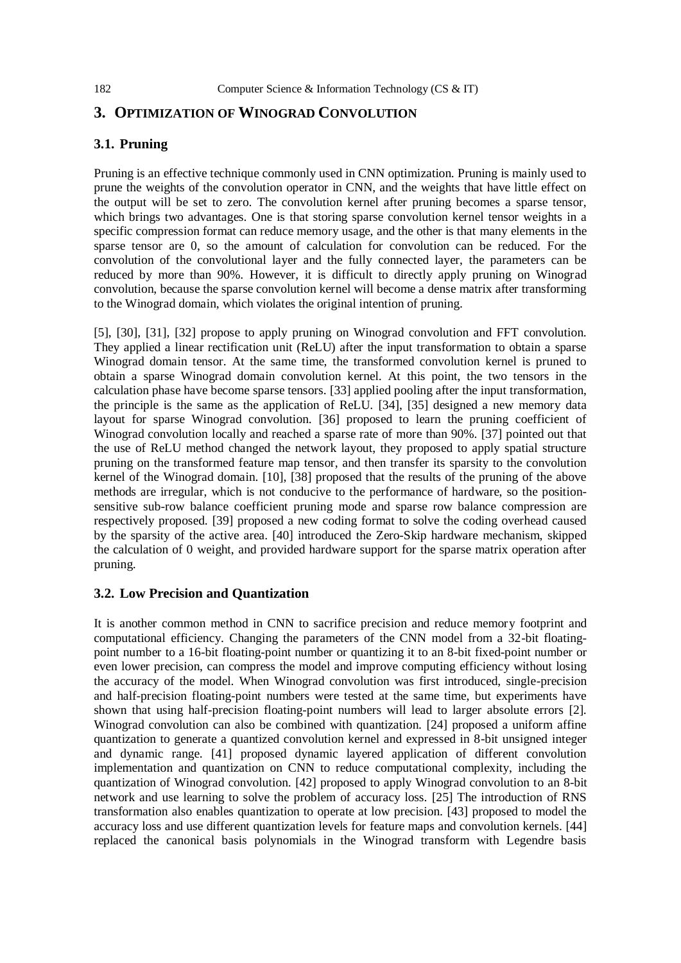# **3. OPTIMIZATION OF WINOGRAD CONVOLUTION**

# **3.1. Pruning**

Pruning is an effective technique commonly used in CNN optimization. Pruning is mainly used to prune the weights of the convolution operator in CNN, and the weights that have little effect on the output will be set to zero. The convolution kernel after pruning becomes a sparse tensor, which brings two advantages. One is that storing sparse convolution kernel tensor weights in a specific compression format can reduce memory usage, and the other is that many elements in the sparse tensor are 0, so the amount of calculation for convolution can be reduced. For the convolution of the convolutional layer and the fully connected layer, the parameters can be reduced by more than 90%. However, it is difficult to directly apply pruning on Winograd convolution, because the sparse convolution kernel will become a dense matrix after transforming to the Winograd domain, which violates the original intention of pruning.

[5], [30], [31], [32] propose to apply pruning on Winograd convolution and FFT convolution. They applied a linear rectification unit (ReLU) after the input transformation to obtain a sparse Winograd domain tensor. At the same time, the transformed convolution kernel is pruned to obtain a sparse Winograd domain convolution kernel. At this point, the two tensors in the calculation phase have become sparse tensors. [33] applied pooling after the input transformation, the principle is the same as the application of ReLU. [34], [35] designed a new memory data layout for sparse Winograd convolution. [36] proposed to learn the pruning coefficient of Winograd convolution locally and reached a sparse rate of more than 90%. [37] pointed out that the use of ReLU method changed the network layout, they proposed to apply spatial structure pruning on the transformed feature map tensor, and then transfer its sparsity to the convolution kernel of the Winograd domain. [10], [38] proposed that the results of the pruning of the above methods are irregular, which is not conducive to the performance of hardware, so the positionsensitive sub-row balance coefficient pruning mode and sparse row balance compression are respectively proposed. [39] proposed a new coding format to solve the coding overhead caused by the sparsity of the active area. [40] introduced the Zero-Skip hardware mechanism, skipped the calculation of 0 weight, and provided hardware support for the sparse matrix operation after pruning.

## **3.2. Low Precision and Quantization**

It is another common method in CNN to sacrifice precision and reduce memory footprint and computational efficiency. Changing the parameters of the CNN model from a 32-bit floatingpoint number to a 16-bit floating-point number or quantizing it to an 8-bit fixed-point number or even lower precision, can compress the model and improve computing efficiency without losing the accuracy of the model. When Winograd convolution was first introduced, single-precision and half-precision floating-point numbers were tested at the same time, but experiments have shown that using half-precision floating-point numbers will lead to larger absolute errors [2]. Winograd convolution can also be combined with quantization. [24] proposed a uniform affine quantization to generate a quantized convolution kernel and expressed in 8-bit unsigned integer and dynamic range. [41] proposed dynamic layered application of different convolution implementation and quantization on CNN to reduce computational complexity, including the quantization of Winograd convolution. [42] proposed to apply Winograd convolution to an 8-bit network and use learning to solve the problem of accuracy loss. [25] The introduction of RNS transformation also enables quantization to operate at low precision. [43] proposed to model the accuracy loss and use different quantization levels for feature maps and convolution kernels. [44] replaced the canonical basis polynomials in the Winograd transform with Legendre basis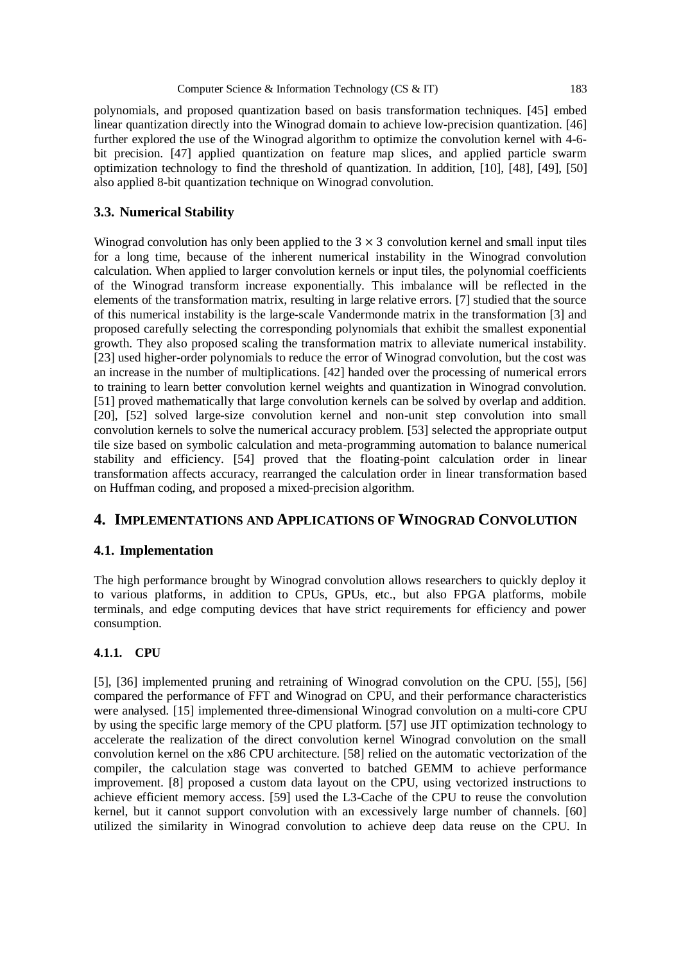polynomials, and proposed quantization based on basis transformation techniques. [45] embed linear quantization directly into the Winograd domain to achieve low-precision quantization. [46] further explored the use of the Winograd algorithm to optimize the convolution kernel with 4-6 bit precision. [47] applied quantization on feature map slices, and applied particle swarm optimization technology to find the threshold of quantization. In addition, [10], [48], [49], [50] also applied 8-bit quantization technique on Winograd convolution.

## **3.3. Numerical Stability**

Winograd convolution has only been applied to the  $3 \times 3$  convolution kernel and small input tiles for a long time, because of the inherent numerical instability in the Winograd convolution calculation. When applied to larger convolution kernels or input tiles, the polynomial coefficients of the Winograd transform increase exponentially. This imbalance will be reflected in the elements of the transformation matrix, resulting in large relative errors. [7] studied that the source of this numerical instability is the large-scale Vandermonde matrix in the transformation [3] and proposed carefully selecting the corresponding polynomials that exhibit the smallest exponential growth. They also proposed scaling the transformation matrix to alleviate numerical instability. [23] used higher-order polynomials to reduce the error of Winograd convolution, but the cost was an increase in the number of multiplications. [42] handed over the processing of numerical errors to training to learn better convolution kernel weights and quantization in Winograd convolution. [51] proved mathematically that large convolution kernels can be solved by overlap and addition. [20], [52] solved large-size convolution kernel and non-unit step convolution into small convolution kernels to solve the numerical accuracy problem. [53] selected the appropriate output tile size based on symbolic calculation and meta-programming automation to balance numerical stability and efficiency. [54] proved that the floating-point calculation order in linear transformation affects accuracy, rearranged the calculation order in linear transformation based on Huffman coding, and proposed a mixed-precision algorithm.

# **4. IMPLEMENTATIONS AND APPLICATIONS OF WINOGRAD CONVOLUTION**

## **4.1. Implementation**

The high performance brought by Winograd convolution allows researchers to quickly deploy it to various platforms, in addition to CPUs, GPUs, etc., but also FPGA platforms, mobile terminals, and edge computing devices that have strict requirements for efficiency and power consumption.

## **4.1.1. CPU**

[5], [36] implemented pruning and retraining of Winograd convolution on the CPU. [55], [56] compared the performance of FFT and Winograd on CPU, and their performance characteristics were analysed. [15] implemented three-dimensional Winograd convolution on a multi-core CPU by using the specific large memory of the CPU platform. [57] use JIT optimization technology to accelerate the realization of the direct convolution kernel Winograd convolution on the small convolution kernel on the x86 CPU architecture. [58] relied on the automatic vectorization of the compiler, the calculation stage was converted to batched GEMM to achieve performance improvement. [8] proposed a custom data layout on the CPU, using vectorized instructions to achieve efficient memory access. [59] used the L3-Cache of the CPU to reuse the convolution kernel, but it cannot support convolution with an excessively large number of channels. [60] utilized the similarity in Winograd convolution to achieve deep data reuse on the CPU. In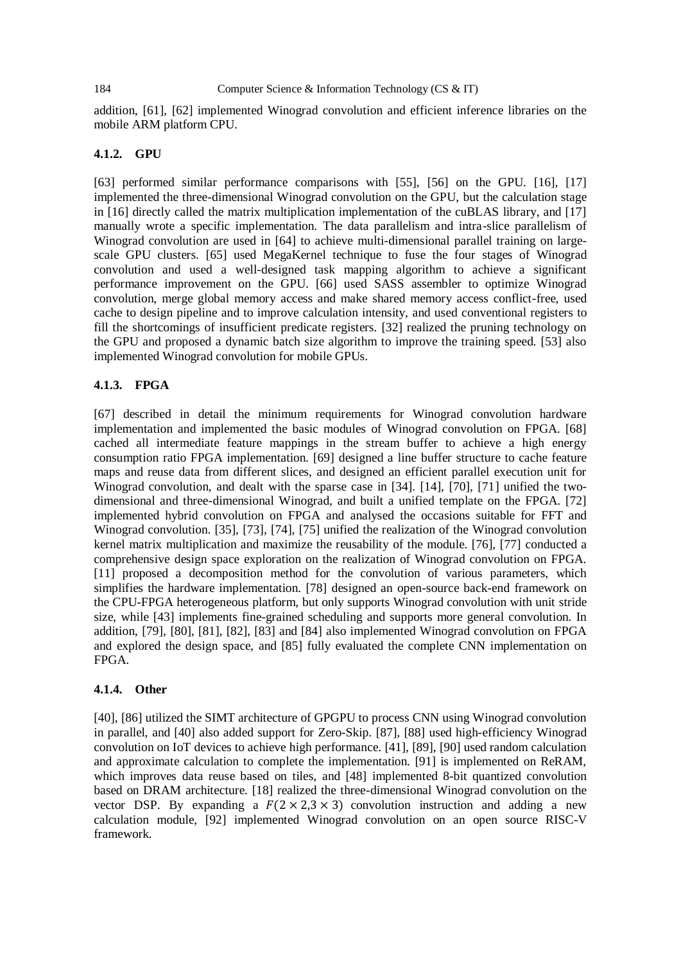addition, [61], [62] implemented Winograd convolution and efficient inference libraries on the mobile ARM platform CPU.

#### **4.1.2. GPU**

[63] performed similar performance comparisons with [55], [56] on the GPU. [16], [17] implemented the three-dimensional Winograd convolution on the GPU, but the calculation stage in [16] directly called the matrix multiplication implementation of the cuBLAS library, and [17] manually wrote a specific implementation. The data parallelism and intra-slice parallelism of Winograd convolution are used in [64] to achieve multi-dimensional parallel training on largescale GPU clusters. [65] used MegaKernel technique to fuse the four stages of Winograd convolution and used a well-designed task mapping algorithm to achieve a significant performance improvement on the GPU. [66] used SASS assembler to optimize Winograd convolution, merge global memory access and make shared memory access conflict-free, used cache to design pipeline and to improve calculation intensity, and used conventional registers to fill the shortcomings of insufficient predicate registers. [32] realized the pruning technology on the GPU and proposed a dynamic batch size algorithm to improve the training speed. [53] also implemented Winograd convolution for mobile GPUs.

#### **4.1.3. FPGA**

[67] described in detail the minimum requirements for Winograd convolution hardware implementation and implemented the basic modules of Winograd convolution on FPGA. [68] cached all intermediate feature mappings in the stream buffer to achieve a high energy consumption ratio FPGA implementation. [69] designed a line buffer structure to cache feature maps and reuse data from different slices, and designed an efficient parallel execution unit for Winograd convolution, and dealt with the sparse case in [34]. [14], [70], [71] unified the twodimensional and three-dimensional Winograd, and built a unified template on the FPGA. [72] implemented hybrid convolution on FPGA and analysed the occasions suitable for FFT and Winograd convolution. [35], [73], [74], [75] unified the realization of the Winograd convolution kernel matrix multiplication and maximize the reusability of the module. [76], [77] conducted a comprehensive design space exploration on the realization of Winograd convolution on FPGA. [11] proposed a decomposition method for the convolution of various parameters, which simplifies the hardware implementation. [78] designed an open-source back-end framework on the CPU-FPGA heterogeneous platform, but only supports Winograd convolution with unit stride size, while [43] implements fine-grained scheduling and supports more general convolution. In addition, [79], [80], [81], [82], [83] and [84] also implemented Winograd convolution on FPGA and explored the design space, and [85] fully evaluated the complete CNN implementation on FPGA.

#### **4.1.4. Other**

[40], [86] utilized the SIMT architecture of GPGPU to process CNN using Winograd convolution in parallel, and [40] also added support for Zero-Skip. [87], [88] used high-efficiency Winograd convolution on IoT devices to achieve high performance. [41], [89], [90] used random calculation and approximate calculation to complete the implementation. [91] is implemented on ReRAM, which improves data reuse based on tiles, and [48] implemented 8-bit quantized convolution based on DRAM architecture. [18] realized the three-dimensional Winograd convolution on the vector DSP. By expanding a  $F(2 \times 2,3 \times 3)$  convolution instruction and adding a new calculation module, [92] implemented Winograd convolution on an open source RISC-V framework.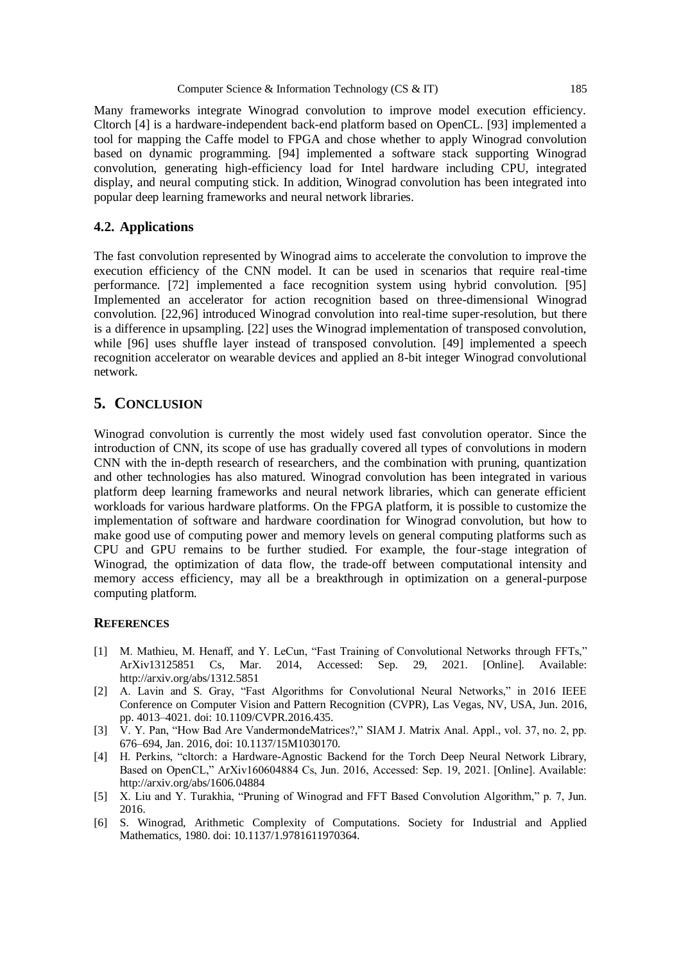Many frameworks integrate Winograd convolution to improve model execution efficiency. Cltorch [4] is a hardware-independent back-end platform based on OpenCL. [93] implemented a tool for mapping the Caffe model to FPGA and chose whether to apply Winograd convolution based on dynamic programming. [94] implemented a software stack supporting Winograd convolution, generating high-efficiency load for Intel hardware including CPU, integrated display, and neural computing stick. In addition, Winograd convolution has been integrated into popular deep learning frameworks and neural network libraries.

## **4.2. Applications**

The fast convolution represented by Winograd aims to accelerate the convolution to improve the execution efficiency of the CNN model. It can be used in scenarios that require real-time performance. [72] implemented a face recognition system using hybrid convolution. [95] Implemented an accelerator for action recognition based on three-dimensional Winograd convolution. [22,96] introduced Winograd convolution into real-time super-resolution, but there is a difference in upsampling. [22] uses the Winograd implementation of transposed convolution, while [96] uses shuffle layer instead of transposed convolution. [49] implemented a speech recognition accelerator on wearable devices and applied an 8-bit integer Winograd convolutional network.

## **5. CONCLUSION**

Winograd convolution is currently the most widely used fast convolution operator. Since the introduction of CNN, its scope of use has gradually covered all types of convolutions in modern CNN with the in-depth research of researchers, and the combination with pruning, quantization and other technologies has also matured. Winograd convolution has been integrated in various platform deep learning frameworks and neural network libraries, which can generate efficient workloads for various hardware platforms. On the FPGA platform, it is possible to customize the implementation of software and hardware coordination for Winograd convolution, but how to make good use of computing power and memory levels on general computing platforms such as CPU and GPU remains to be further studied. For example, the four-stage integration of Winograd, the optimization of data flow, the trade-off between computational intensity and memory access efficiency, may all be a breakthrough in optimization on a general-purpose computing platform.

#### **REFERENCES**

- [1] M. Mathieu, M. Henaff, and Y. LeCun, "Fast Training of Convolutional Networks through FFTs," ArXiv13125851 Cs, Mar. 2014, Accessed: Sep. 29, 2021. [Online]. Available: http://arxiv.org/abs/1312.5851
- [2] A. Lavin and S. Gray, "Fast Algorithms for Convolutional Neural Networks," in 2016 IEEE Conference on Computer Vision and Pattern Recognition (CVPR), Las Vegas, NV, USA, Jun. 2016, pp. 4013–4021. doi: 10.1109/CVPR.2016.435.
- [3] V. Y. Pan, "How Bad Are VandermondeMatrices?," SIAM J. Matrix Anal. Appl., vol. 37, no. 2, pp. 676–694, Jan. 2016, doi: 10.1137/15M1030170.
- [4] H. Perkins, "cltorch: a Hardware-Agnostic Backend for the Torch Deep Neural Network Library, Based on OpenCL," ArXiv160604884 Cs, Jun. 2016, Accessed: Sep. 19, 2021. [Online]. Available: http://arxiv.org/abs/1606.04884
- [5] X. Liu and Y. Turakhia, "Pruning of Winograd and FFT Based Convolution Algorithm," p. 7, Jun. 2016.
- [6] S. Winograd, Arithmetic Complexity of Computations. Society for Industrial and Applied Mathematics, 1980. doi: 10.1137/1.9781611970364.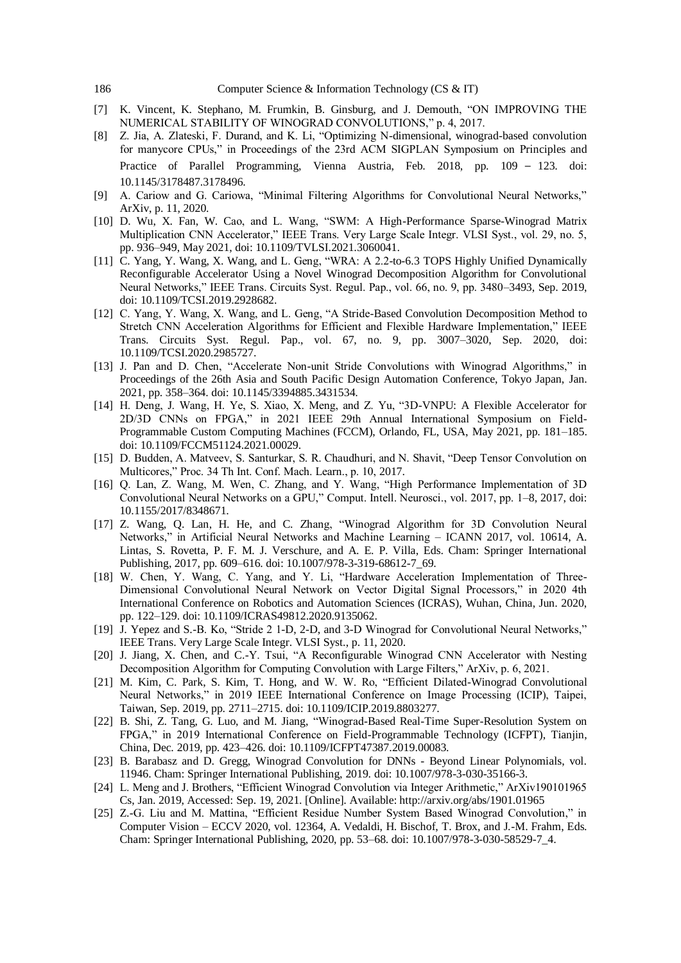- [7] K. Vincent, K. Stephano, M. Frumkin, B. Ginsburg, and J. Demouth, "ON IMPROVING THE NUMERICAL STABILITY OF WINOGRAD CONVOLUTIONS," p. 4, 2017.
- [8] Z. Jia, A. Zlateski, F. Durand, and K. Li, "Optimizing N-dimensional, winograd-based convolution for manycore CPUs," in Proceedings of the 23rd ACM SIGPLAN Symposium on Principles and Practice of Parallel Programming, Vienna Austria, Feb. 2018, pp. 109 – 123. doi: 10.1145/3178487.3178496.
- [9] A. Cariow and G. Cariowa, "Minimal Filtering Algorithms for Convolutional Neural Networks," ArXiv, p. 11, 2020.
- [10] D. Wu, X. Fan, W. Cao, and L. Wang, "SWM: A High-Performance Sparse-Winograd Matrix Multiplication CNN Accelerator," IEEE Trans. Very Large Scale Integr. VLSI Syst., vol. 29, no. 5, pp. 936–949, May 2021, doi: 10.1109/TVLSI.2021.3060041.
- [11] C. Yang, Y. Wang, X. Wang, and L. Geng, "WRA: A 2.2-to-6.3 TOPS Highly Unified Dynamically Reconfigurable Accelerator Using a Novel Winograd Decomposition Algorithm for Convolutional Neural Networks," IEEE Trans. Circuits Syst. Regul. Pap., vol. 66, no. 9, pp. 3480–3493, Sep. 2019, doi: 10.1109/TCSI.2019.2928682.
- [12] C. Yang, Y. Wang, X. Wang, and L. Geng, "A Stride-Based Convolution Decomposition Method to Stretch CNN Acceleration Algorithms for Efficient and Flexible Hardware Implementation," IEEE Trans. Circuits Syst. Regul. Pap., vol. 67, no. 9, pp. 3007–3020, Sep. 2020, doi: 10.1109/TCSI.2020.2985727.
- [13] J. Pan and D. Chen, "Accelerate Non-unit Stride Convolutions with Winograd Algorithms," in Proceedings of the 26th Asia and South Pacific Design Automation Conference, Tokyo Japan, Jan. 2021, pp. 358–364. doi: 10.1145/3394885.3431534.
- [14] H. Deng, J. Wang, H. Ye, S. Xiao, X. Meng, and Z. Yu, "3D-VNPU: A Flexible Accelerator for 2D/3D CNNs on FPGA," in 2021 IEEE 29th Annual International Symposium on Field-Programmable Custom Computing Machines (FCCM), Orlando, FL, USA, May 2021, pp. 181–185. doi: 10.1109/FCCM51124.2021.00029.
- [15] D. Budden, A. Matveev, S. Santurkar, S. R. Chaudhuri, and N. Shavit, "Deep Tensor Convolution on Multicores," Proc. 34 Th Int. Conf. Mach. Learn., p. 10, 2017.
- [16] Q. Lan, Z. Wang, M. Wen, C. Zhang, and Y. Wang, "High Performance Implementation of 3D Convolutional Neural Networks on a GPU," Comput. Intell. Neurosci., vol. 2017, pp. 1–8, 2017, doi: 10.1155/2017/8348671.
- [17] Z. Wang, Q. Lan, H. He, and C. Zhang, "Winograd Algorithm for 3D Convolution Neural Networks," in Artificial Neural Networks and Machine Learning – ICANN 2017, vol. 10614, A. Lintas, S. Rovetta, P. F. M. J. Verschure, and A. E. P. Villa, Eds. Cham: Springer International Publishing, 2017, pp. 609–616. doi: 10.1007/978-3-319-68612-7\_69.
- [18] W. Chen, Y. Wang, C. Yang, and Y. Li, "Hardware Acceleration Implementation of Three-Dimensional Convolutional Neural Network on Vector Digital Signal Processors," in 2020 4th International Conference on Robotics and Automation Sciences (ICRAS), Wuhan, China, Jun. 2020, pp. 122–129. doi: 10.1109/ICRAS49812.2020.9135062.
- [19] J. Yepez and S.-B. Ko, "Stride 2 1-D, 2-D, and 3-D Winograd for Convolutional Neural Networks," IEEE Trans. Very Large Scale Integr. VLSI Syst., p. 11, 2020.
- [20] J. Jiang, X. Chen, and C.-Y. Tsui, "A Reconfigurable Winograd CNN Accelerator with Nesting Decomposition Algorithm for Computing Convolution with Large Filters," ArXiv, p. 6, 2021.
- [21] M. Kim, C. Park, S. Kim, T. Hong, and W. W. Ro, "Efficient Dilated-Winograd Convolutional Neural Networks," in 2019 IEEE International Conference on Image Processing (ICIP), Taipei, Taiwan, Sep. 2019, pp. 2711–2715. doi: 10.1109/ICIP.2019.8803277.
- [22] B. Shi, Z. Tang, G. Luo, and M. Jiang, "Winograd-Based Real-Time Super-Resolution System on FPGA," in 2019 International Conference on Field-Programmable Technology (ICFPT), Tianjin, China, Dec. 2019, pp. 423–426. doi: 10.1109/ICFPT47387.2019.00083.
- [23] B. Barabasz and D. Gregg, Winograd Convolution for DNNs Beyond Linear Polynomials, vol. 11946. Cham: Springer International Publishing, 2019. doi: 10.1007/978-3-030-35166-3.
- [24] L. Meng and J. Brothers, "Efficient Winograd Convolution via Integer Arithmetic," ArXiv190101965 Cs, Jan. 2019, Accessed: Sep. 19, 2021. [Online]. Available: http://arxiv.org/abs/1901.01965
- [25] Z.-G. Liu and M. Mattina, "Efficient Residue Number System Based Winograd Convolution," in Computer Vision – ECCV 2020, vol. 12364, A. Vedaldi, H. Bischof, T. Brox, and J.-M. Frahm, Eds. Cham: Springer International Publishing, 2020, pp. 53–68. doi: 10.1007/978-3-030-58529-7\_4.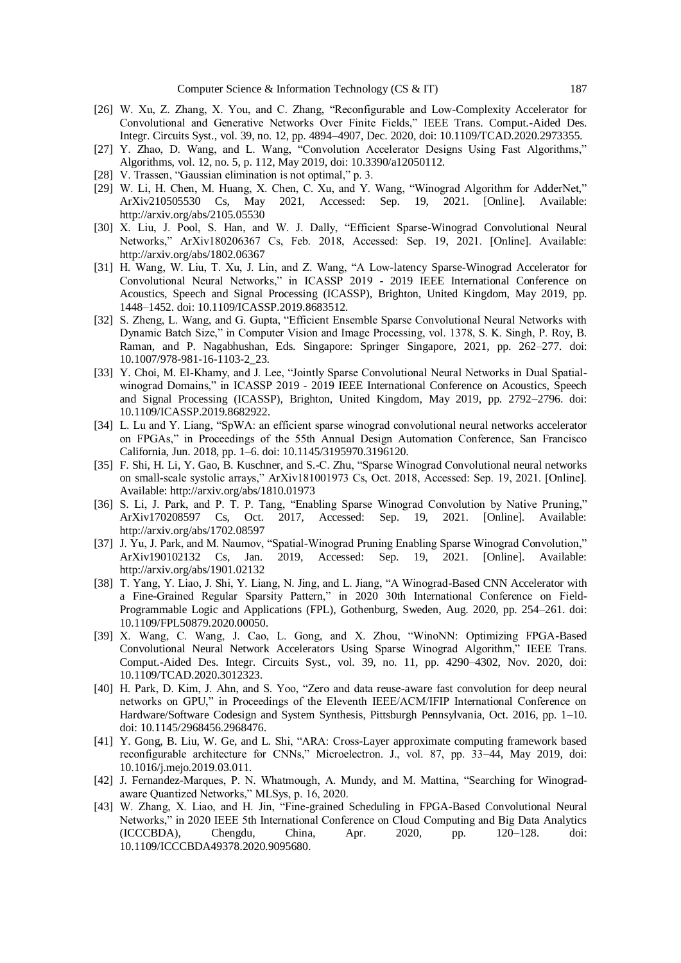- [26] W. Xu, Z. Zhang, X. You, and C. Zhang, "Reconfigurable and Low-Complexity Accelerator for Convolutional and Generative Networks Over Finite Fields," IEEE Trans. Comput.-Aided Des. Integr. Circuits Syst., vol. 39, no. 12, pp. 4894–4907, Dec. 2020, doi: 10.1109/TCAD.2020.2973355.
- [27] Y. Zhao, D. Wang, and L. Wang, "Convolution Accelerator Designs Using Fast Algorithms," Algorithms, vol. 12, no. 5, p. 112, May 2019, doi: 10.3390/a12050112.
- [28] V. Trassen, "Gaussian elimination is not optimal," p. 3.
- [29] W. Li, H. Chen, M. Huang, X. Chen, C. Xu, and Y. Wang, "Winograd Algorithm for AdderNet," ArXiv210505530 Cs, May 2021, Accessed: Sep. 19, 2021. [Online]. Available: http://arxiv.org/abs/2105.05530
- [30] X. Liu, J. Pool, S. Han, and W. J. Dally, "Efficient Sparse-Winograd Convolutional Neural Networks," ArXiv180206367 Cs, Feb. 2018, Accessed: Sep. 19, 2021. [Online]. Available: http://arxiv.org/abs/1802.06367
- [31] H. Wang, W. Liu, T. Xu, J. Lin, and Z. Wang, "A Low-latency Sparse-Winograd Accelerator for Convolutional Neural Networks," in ICASSP 2019 - 2019 IEEE International Conference on Acoustics, Speech and Signal Processing (ICASSP), Brighton, United Kingdom, May 2019, pp. 1448–1452. doi: 10.1109/ICASSP.2019.8683512.
- [32] S. Zheng, L. Wang, and G. Gupta, "Efficient Ensemble Sparse Convolutional Neural Networks with Dynamic Batch Size," in Computer Vision and Image Processing, vol. 1378, S. K. Singh, P. Roy, B. Raman, and P. Nagabhushan, Eds. Singapore: Springer Singapore, 2021, pp. 262–277. doi: 10.1007/978-981-16-1103-2\_23.
- [33] Y. Choi, M. El-Khamy, and J. Lee, "Jointly Sparse Convolutional Neural Networks in Dual Spatialwinograd Domains," in ICASSP 2019 - 2019 IEEE International Conference on Acoustics, Speech and Signal Processing (ICASSP), Brighton, United Kingdom, May 2019, pp. 2792–2796. doi: 10.1109/ICASSP.2019.8682922.
- [34] L. Lu and Y. Liang, "SpWA: an efficient sparse winograd convolutional neural networks accelerator on FPGAs," in Proceedings of the 55th Annual Design Automation Conference, San Francisco California, Jun. 2018, pp. 1–6. doi: 10.1145/3195970.3196120.
- [35] F. Shi, H. Li, Y. Gao, B. Kuschner, and S.-C. Zhu, "Sparse Winograd Convolutional neural networks on small-scale systolic arrays," ArXiv181001973 Cs, Oct. 2018, Accessed: Sep. 19, 2021. [Online]. Available: http://arxiv.org/abs/1810.01973
- [36] S. Li, J. Park, and P. T. P. Tang, "Enabling Sparse Winograd Convolution by Native Pruning," ArXiv170208597 Cs, Oct. 2017, Accessed: Sep. 19, 2021. [Online]. Available: http://arxiv.org/abs/1702.08597
- [37] J. Yu, J. Park, and M. Naumov, "Spatial-Winograd Pruning Enabling Sparse Winograd Convolution," ArXiv190102132 Cs, Jan. 2019, Accessed: Sep. 19, 2021. [Online]. Available: http://arxiv.org/abs/1901.02132
- [38] T. Yang, Y. Liao, J. Shi, Y. Liang, N. Jing, and L. Jiang, "A Winograd-Based CNN Accelerator with a Fine-Grained Regular Sparsity Pattern," in 2020 30th International Conference on Field-Programmable Logic and Applications (FPL), Gothenburg, Sweden, Aug. 2020, pp. 254–261. doi: 10.1109/FPL50879.2020.00050.
- [39] X. Wang, C. Wang, J. Cao, L. Gong, and X. Zhou, "WinoNN: Optimizing FPGA-Based Convolutional Neural Network Accelerators Using Sparse Winograd Algorithm," IEEE Trans. Comput.-Aided Des. Integr. Circuits Syst., vol. 39, no. 11, pp. 4290–4302, Nov. 2020, doi: 10.1109/TCAD.2020.3012323.
- [40] H. Park, D. Kim, J. Ahn, and S. Yoo, "Zero and data reuse-aware fast convolution for deep neural networks on GPU," in Proceedings of the Eleventh IEEE/ACM/IFIP International Conference on Hardware/Software Codesign and System Synthesis, Pittsburgh Pennsylvania, Oct. 2016, pp. 1–10. doi: 10.1145/2968456.2968476.
- [41] Y. Gong, B. Liu, W. Ge, and L. Shi, "ARA: Cross-Layer approximate computing framework based reconfigurable architecture for CNNs," Microelectron. J., vol. 87, pp. 33–44, May 2019, doi: 10.1016/j.mejo.2019.03.011.
- [42] J. Fernandez-Marques, P. N. Whatmough, A. Mundy, and M. Mattina, "Searching for Winogradaware Quantized Networks," MLSys, p. 16, 2020.
- [43] W. Zhang, X. Liao, and H. Jin, "Fine-grained Scheduling in FPGA-Based Convolutional Neural Networks," in 2020 IEEE 5th International Conference on Cloud Computing and Big Data Analytics (ICCCBDA), Chengdu, China, Apr. 2020, pp. 120–128. doi: 10.1109/ICCCBDA49378.2020.9095680.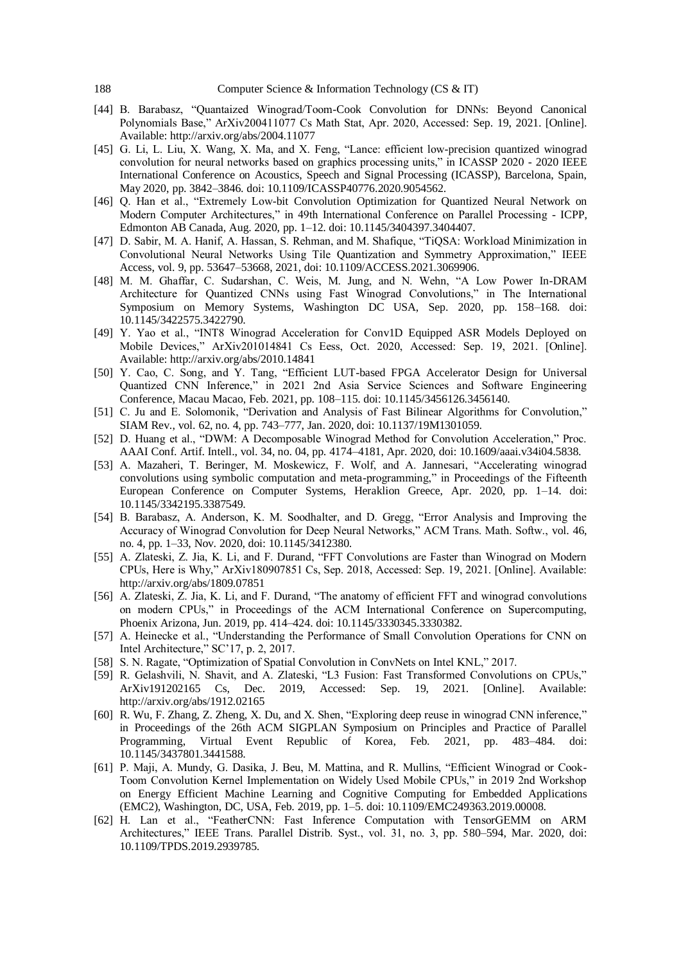- [44] B. Barabasz, "Quantaized Winograd/Toom-Cook Convolution for DNNs: Beyond Canonical Polynomials Base," ArXiv200411077 Cs Math Stat, Apr. 2020, Accessed: Sep. 19, 2021. [Online]. Available: http://arxiv.org/abs/2004.11077
- [45] G. Li, L. Liu, X. Wang, X. Ma, and X. Feng, "Lance: efficient low-precision quantized winograd convolution for neural networks based on graphics processing units," in ICASSP 2020 - 2020 IEEE International Conference on Acoustics, Speech and Signal Processing (ICASSP), Barcelona, Spain, May 2020, pp. 3842–3846. doi: 10.1109/ICASSP40776.2020.9054562.
- [46] Q. Han et al., "Extremely Low-bit Convolution Optimization for Quantized Neural Network on Modern Computer Architectures," in 49th International Conference on Parallel Processing - ICPP, Edmonton AB Canada, Aug. 2020, pp. 1–12. doi: 10.1145/3404397.3404407.
- [47] D. Sabir, M. A. Hanif, A. Hassan, S. Rehman, and M. Shafique, "TiQSA: Workload Minimization in Convolutional Neural Networks Using Tile Quantization and Symmetry Approximation," IEEE Access, vol. 9, pp. 53647–53668, 2021, doi: 10.1109/ACCESS.2021.3069906.
- [48] M. M. Ghaffar, C. Sudarshan, C. Weis, M. Jung, and N. Wehn, "A Low Power In-DRAM Architecture for Quantized CNNs using Fast Winograd Convolutions," in The International Symposium on Memory Systems, Washington DC USA, Sep. 2020, pp. 158–168. doi: 10.1145/3422575.3422790.
- [49] Y. Yao et al., "INT8 Winograd Acceleration for Conv1D Equipped ASR Models Deployed on Mobile Devices," ArXiv201014841 Cs Eess, Oct. 2020, Accessed: Sep. 19, 2021. [Online]. Available: http://arxiv.org/abs/2010.14841
- [50] Y. Cao, C. Song, and Y. Tang, "Efficient LUT-based FPGA Accelerator Design for Universal Quantized CNN Inference," in 2021 2nd Asia Service Sciences and Software Engineering Conference, Macau Macao, Feb. 2021, pp. 108–115. doi: 10.1145/3456126.3456140.
- [51] C. Ju and E. Solomonik, "Derivation and Analysis of Fast Bilinear Algorithms for Convolution," SIAM Rev., vol. 62, no. 4, pp. 743–777, Jan. 2020, doi: 10.1137/19M1301059.
- [52] D. Huang et al., "DWM: A Decomposable Winograd Method for Convolution Acceleration," Proc. AAAI Conf. Artif. Intell., vol. 34, no. 04, pp. 4174–4181, Apr. 2020, doi: 10.1609/aaai.v34i04.5838.
- [53] A. Mazaheri, T. Beringer, M. Moskewicz, F. Wolf, and A. Jannesari, "Accelerating winograd convolutions using symbolic computation and meta-programming," in Proceedings of the Fifteenth European Conference on Computer Systems, Heraklion Greece, Apr. 2020, pp. 1–14. doi: 10.1145/3342195.3387549.
- [54] B. Barabasz, A. Anderson, K. M. Soodhalter, and D. Gregg, "Error Analysis and Improving the Accuracy of Winograd Convolution for Deep Neural Networks," ACM Trans. Math. Softw., vol. 46, no. 4, pp. 1–33, Nov. 2020, doi: 10.1145/3412380.
- [55] A. Zlateski, Z. Jia, K. Li, and F. Durand, "FFT Convolutions are Faster than Winograd on Modern CPUs, Here is Why," ArXiv180907851 Cs, Sep. 2018, Accessed: Sep. 19, 2021. [Online]. Available: http://arxiv.org/abs/1809.07851
- [56] A. Zlateski, Z. Jia, K. Li, and F. Durand, "The anatomy of efficient FFT and winograd convolutions on modern CPUs," in Proceedings of the ACM International Conference on Supercomputing, Phoenix Arizona, Jun. 2019, pp. 414–424. doi: 10.1145/3330345.3330382.
- [57] A. Heinecke et al., "Understanding the Performance of Small Convolution Operations for CNN on Intel Architecture," SC'17, p. 2, 2017.
- [58] S. N. Ragate, "Optimization of Spatial Convolution in ConvNets on Intel KNL," 2017.
- [59] R. Gelashvili, N. Shavit, and A. Zlateski, "L3 Fusion: Fast Transformed Convolutions on CPUs," ArXiv191202165 Cs, Dec. 2019, Accessed: Sep. 19, 2021. [Online]. Available: http://arxiv.org/abs/1912.02165
- [60] R. Wu, F. Zhang, Z. Zheng, X. Du, and X. Shen, "Exploring deep reuse in winograd CNN inference," in Proceedings of the 26th ACM SIGPLAN Symposium on Principles and Practice of Parallel Programming, Virtual Event Republic of Korea, Feb. 2021, pp. 483–484. doi: 10.1145/3437801.3441588.
- [61] P. Maji, A. Mundy, G. Dasika, J. Beu, M. Mattina, and R. Mullins, "Efficient Winograd or Cook-Toom Convolution Kernel Implementation on Widely Used Mobile CPUs," in 2019 2nd Workshop on Energy Efficient Machine Learning and Cognitive Computing for Embedded Applications (EMC2), Washington, DC, USA, Feb. 2019, pp. 1–5. doi: 10.1109/EMC249363.2019.00008.
- [62] H. Lan et al., "FeatherCNN: Fast Inference Computation with TensorGEMM on ARM Architectures," IEEE Trans. Parallel Distrib. Syst., vol. 31, no. 3, pp. 580–594, Mar. 2020, doi: 10.1109/TPDS.2019.2939785.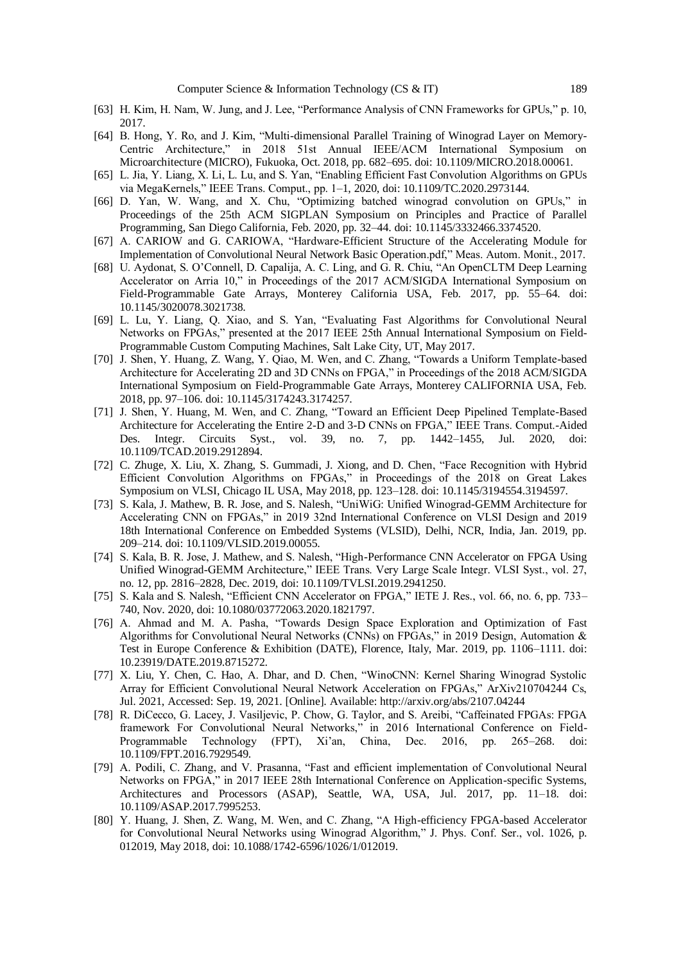- [63] H. Kim, H. Nam, W. Jung, and J. Lee, "Performance Analysis of CNN Frameworks for GPUs," p. 10, 2017.
- [64] B. Hong, Y. Ro, and J. Kim, "Multi-dimensional Parallel Training of Winograd Layer on Memory-Centric Architecture," in 2018 51st Annual IEEE/ACM International Symposium on Microarchitecture (MICRO), Fukuoka, Oct. 2018, pp. 682–695. doi: 10.1109/MICRO.2018.00061.
- [65] L. Jia, Y. Liang, X. Li, L. Lu, and S. Yan, "Enabling Efficient Fast Convolution Algorithms on GPUs via MegaKernels," IEEE Trans. Comput., pp. 1–1, 2020, doi: 10.1109/TC.2020.2973144.
- [66] D. Yan, W. Wang, and X. Chu, "Optimizing batched winograd convolution on GPUs," in Proceedings of the 25th ACM SIGPLAN Symposium on Principles and Practice of Parallel Programming, San Diego California, Feb. 2020, pp. 32–44. doi: 10.1145/3332466.3374520.
- [67] A. CARIOW and G. CARIOWA, "Hardware-Efficient Structure of the Accelerating Module for Implementation of Convolutional Neural Network Basic Operation.pdf," Meas. Autom. Monit., 2017.
- [68] U. Aydonat, S. O'Connell, D. Capalija, A. C. Ling, and G. R. Chiu, "An OpenCLTM Deep Learning Accelerator on Arria 10," in Proceedings of the 2017 ACM/SIGDA International Symposium on Field-Programmable Gate Arrays, Monterey California USA, Feb. 2017, pp. 55–64. doi: 10.1145/3020078.3021738.
- [69] L. Lu, Y. Liang, Q. Xiao, and S. Yan, "Evaluating Fast Algorithms for Convolutional Neural Networks on FPGAs," presented at the 2017 IEEE 25th Annual International Symposium on Field-Programmable Custom Computing Machines, Salt Lake City, UT, May 2017.
- [70] J. Shen, Y. Huang, Z. Wang, Y. Qiao, M. Wen, and C. Zhang, "Towards a Uniform Template-based Architecture for Accelerating 2D and 3D CNNs on FPGA," in Proceedings of the 2018 ACM/SIGDA International Symposium on Field-Programmable Gate Arrays, Monterey CALIFORNIA USA, Feb. 2018, pp. 97–106. doi: 10.1145/3174243.3174257.
- [71] J. Shen, Y. Huang, M. Wen, and C. Zhang, "Toward an Efficient Deep Pipelined Template-Based Architecture for Accelerating the Entire 2-D and 3-D CNNs on FPGA," IEEE Trans. Comput.-Aided Des. Integr. Circuits Syst., vol. 39, no. 7, pp. 1442–1455, Jul. 2020, doi: 10.1109/TCAD.2019.2912894.
- [72] C. Zhuge, X. Liu, X. Zhang, S. Gummadi, J. Xiong, and D. Chen, "Face Recognition with Hybrid Efficient Convolution Algorithms on FPGAs," in Proceedings of the 2018 on Great Lakes Symposium on VLSI, Chicago IL USA, May 2018, pp. 123–128. doi: 10.1145/3194554.3194597.
- [73] S. Kala, J. Mathew, B. R. Jose, and S. Nalesh, "UniWiG: Unified Winograd-GEMM Architecture for Accelerating CNN on FPGAs," in 2019 32nd International Conference on VLSI Design and 2019 18th International Conference on Embedded Systems (VLSID), Delhi, NCR, India, Jan. 2019, pp. 209–214. doi: 10.1109/VLSID.2019.00055.
- [74] S. Kala, B. R. Jose, J. Mathew, and S. Nalesh, "High-Performance CNN Accelerator on FPGA Using Unified Winograd-GEMM Architecture," IEEE Trans. Very Large Scale Integr. VLSI Syst., vol. 27, no. 12, pp. 2816–2828, Dec. 2019, doi: 10.1109/TVLSI.2019.2941250.
- [75] S. Kala and S. Nalesh, "Efficient CNN Accelerator on FPGA," IETE J. Res., vol. 66, no. 6, pp. 733– 740, Nov. 2020, doi: 10.1080/03772063.2020.1821797.
- [76] A. Ahmad and M. A. Pasha, "Towards Design Space Exploration and Optimization of Fast Algorithms for Convolutional Neural Networks (CNNs) on FPGAs," in 2019 Design, Automation & Test in Europe Conference & Exhibition (DATE), Florence, Italy, Mar. 2019, pp. 1106–1111. doi: 10.23919/DATE.2019.8715272.
- [77] X. Liu, Y. Chen, C. Hao, A. Dhar, and D. Chen, "WinoCNN: Kernel Sharing Winograd Systolic Array for Efficient Convolutional Neural Network Acceleration on FPGAs," ArXiv210704244 Cs, Jul. 2021, Accessed: Sep. 19, 2021. [Online]. Available: http://arxiv.org/abs/2107.04244
- [78] R. DiCecco, G. Lacey, J. Vasiljevic, P. Chow, G. Taylor, and S. Areibi, "Caffeinated FPGAs: FPGA framework For Convolutional Neural Networks," in 2016 International Conference on Field-Programmable Technology (FPT), Xi'an, China, Dec. 2016, pp. 265–268. doi: 10.1109/FPT.2016.7929549.
- [79] A. Podili, C. Zhang, and V. Prasanna, "Fast and efficient implementation of Convolutional Neural Networks on FPGA," in 2017 IEEE 28th International Conference on Application-specific Systems, Architectures and Processors (ASAP), Seattle, WA, USA, Jul. 2017, pp. 11–18. doi: 10.1109/ASAP.2017.7995253.
- [80] Y. Huang, J. Shen, Z. Wang, M. Wen, and C. Zhang, "A High-efficiency FPGA-based Accelerator for Convolutional Neural Networks using Winograd Algorithm," J. Phys. Conf. Ser., vol. 1026, p. 012019, May 2018, doi: 10.1088/1742-6596/1026/1/012019.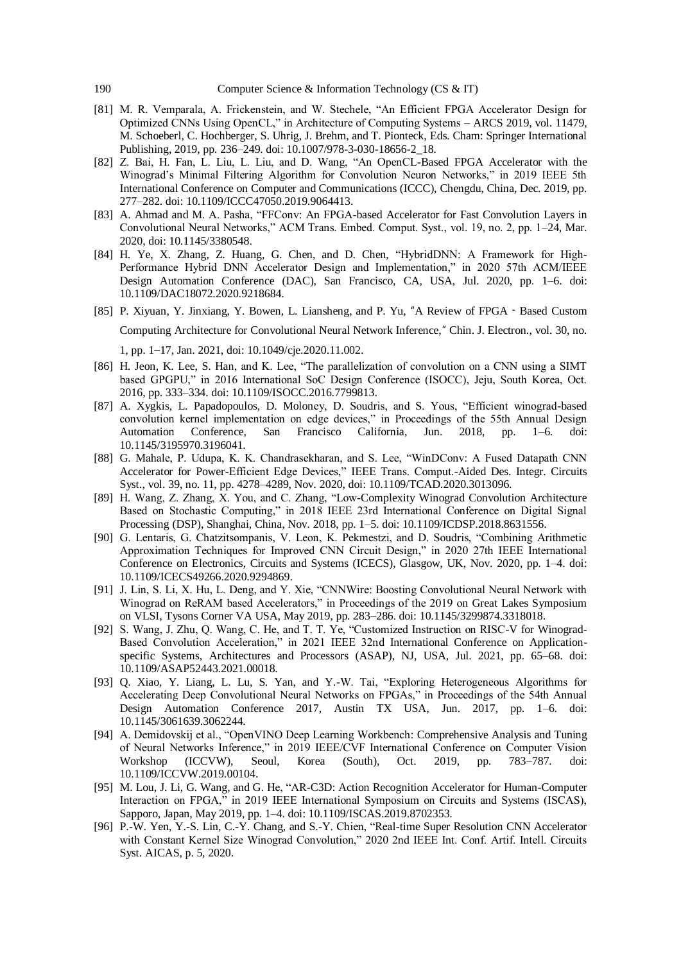- [81] M. R. Vemparala, A. Frickenstein, and W. Stechele, "An Efficient FPGA Accelerator Design for Optimized CNNs Using OpenCL," in Architecture of Computing Systems – ARCS 2019, vol. 11479, M. Schoeberl, C. Hochberger, S. Uhrig, J. Brehm, and T. Pionteck, Eds. Cham: Springer International Publishing, 2019, pp. 236–249. doi: 10.1007/978-3-030-18656-2\_18.
- [82] Z. Bai, H. Fan, L. Liu, L. Liu, and D. Wang, "An OpenCL-Based FPGA Accelerator with the Winograd's Minimal Filtering Algorithm for Convolution Neuron Networks," in 2019 IEEE 5th International Conference on Computer and Communications (ICCC), Chengdu, China, Dec. 2019, pp. 277–282. doi: 10.1109/ICCC47050.2019.9064413.
- [83] A. Ahmad and M. A. Pasha, "FFConv: An FPGA-based Accelerator for Fast Convolution Layers in Convolutional Neural Networks," ACM Trans. Embed. Comput. Syst., vol. 19, no. 2, pp. 1–24, Mar. 2020, doi: 10.1145/3380548.
- [84] H. Ye, X. Zhang, Z. Huang, G. Chen, and D. Chen, "HybridDNN: A Framework for High-Performance Hybrid DNN Accelerator Design and Implementation," in 2020 57th ACM/IEEE Design Automation Conference (DAC), San Francisco, CA, USA, Jul. 2020, pp. 1–6. doi: 10.1109/DAC18072.2020.9218684.
- [85] P. Xiyuan, Y. Jinxiang, Y. Bowen, L. Liansheng, and P. Yu, "A Review of FPGA‐Based Custom Computing Architecture for Convolutional Neural Network Inference," Chin. J. Electron., vol. 30, no. 1, pp. 1–17, Jan. 2021, doi: 10.1049/cje.2020.11.002.
- [86] H. Jeon, K. Lee, S. Han, and K. Lee, "The parallelization of convolution on a CNN using a SIMT based GPGPU," in 2016 International SoC Design Conference (ISOCC), Jeju, South Korea, Oct. 2016, pp. 333–334. doi: 10.1109/ISOCC.2016.7799813.
- [87] A. Xygkis, L. Papadopoulos, D. Moloney, D. Soudris, and S. Yous, "Efficient winograd-based convolution kernel implementation on edge devices," in Proceedings of the 55th Annual Design Automation Conference, San Francisco California, Jun. 2018, pp. 1–6. doi: 10.1145/3195970.3196041.
- [88] G. Mahale, P. Udupa, K. K. Chandrasekharan, and S. Lee, "WinDConv: A Fused Datapath CNN Accelerator for Power-Efficient Edge Devices," IEEE Trans. Comput.-Aided Des. Integr. Circuits Syst., vol. 39, no. 11, pp. 4278–4289, Nov. 2020, doi: 10.1109/TCAD.2020.3013096.
- [89] H. Wang, Z. Zhang, X. You, and C. Zhang, "Low-Complexity Winograd Convolution Architecture Based on Stochastic Computing," in 2018 IEEE 23rd International Conference on Digital Signal Processing (DSP), Shanghai, China, Nov. 2018, pp. 1–5. doi: 10.1109/ICDSP.2018.8631556.
- [90] G. Lentaris, G. Chatzitsompanis, V. Leon, K. Pekmestzi, and D. Soudris, "Combining Arithmetic Approximation Techniques for Improved CNN Circuit Design," in 2020 27th IEEE International Conference on Electronics, Circuits and Systems (ICECS), Glasgow, UK, Nov. 2020, pp. 1–4. doi: 10.1109/ICECS49266.2020.9294869.
- [91] J. Lin, S. Li, X. Hu, L. Deng, and Y. Xie, "CNNWire: Boosting Convolutional Neural Network with Winograd on ReRAM based Accelerators," in Proceedings of the 2019 on Great Lakes Symposium on VLSI, Tysons Corner VA USA, May 2019, pp. 283–286. doi: 10.1145/3299874.3318018.
- [92] S. Wang, J. Zhu, Q. Wang, C. He, and T. T. Ye, "Customized Instruction on RISC-V for Winograd-Based Convolution Acceleration," in 2021 IEEE 32nd International Conference on Applicationspecific Systems, Architectures and Processors (ASAP), NJ, USA, Jul. 2021, pp. 65–68. doi: 10.1109/ASAP52443.2021.00018.
- [93] Q. Xiao, Y. Liang, L. Lu, S. Yan, and Y.-W. Tai, "Exploring Heterogeneous Algorithms for Accelerating Deep Convolutional Neural Networks on FPGAs," in Proceedings of the 54th Annual Design Automation Conference 2017, Austin TX USA, Jun. 2017, pp. 1–6. doi: 10.1145/3061639.3062244.
- [94] A. Demidovskij et al., "OpenVINO Deep Learning Workbench: Comprehensive Analysis and Tuning of Neural Networks Inference," in 2019 IEEE/CVF International Conference on Computer Vision Workshop (ICCVW), Seoul, Korea (South), Oct. 2019, pp. 783–787. doi: 10.1109/ICCVW.2019.00104.
- [95] M. Lou, J. Li, G. Wang, and G. He, "AR-C3D: Action Recognition Accelerator for Human-Computer Interaction on FPGA," in 2019 IEEE International Symposium on Circuits and Systems (ISCAS), Sapporo, Japan, May 2019, pp. 1–4. doi: 10.1109/ISCAS.2019.8702353.
- [96] P.-W. Yen, Y.-S. Lin, C.-Y. Chang, and S.-Y. Chien, "Real-time Super Resolution CNN Accelerator with Constant Kernel Size Winograd Convolution," 2020 2nd IEEE Int. Conf. Artif. Intell. Circuits Syst. AICAS, p. 5, 2020.